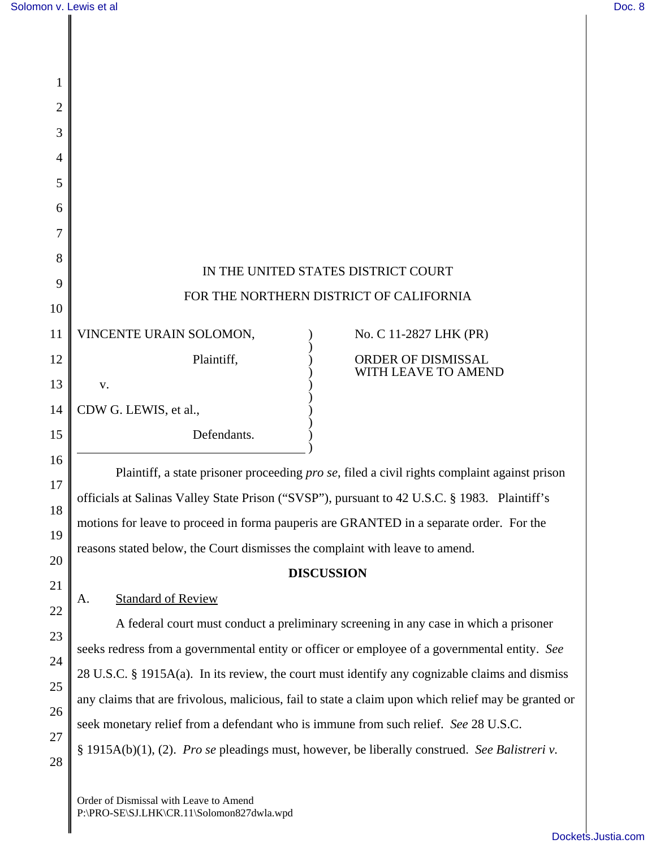1

2

16

17

18

19

20

21

22

23

24

25

26

27

28

| 3  |                                     |  |                                         |
|----|-------------------------------------|--|-----------------------------------------|
| 4  |                                     |  |                                         |
| 5  |                                     |  |                                         |
| 6  |                                     |  |                                         |
| 7  |                                     |  |                                         |
| 8  |                                     |  |                                         |
| 9  | IN THE UNITED STATES DISTRICT COURT |  |                                         |
| 10 |                                     |  | FOR THE NORTHERN DISTRICT OF CALIFORNIA |
| 11 | VINCENTE URAIN SOLOMON,             |  | No. C 11-2827 LHK (PR)                  |
| 12 | Plaintiff,                          |  | ORDER OF DISMISSAL                      |
| 13 | V.                                  |  | WITH LEAVE TO AMEND                     |
| 14 | CDW G. LEWIS, et al.,               |  |                                         |
| 15 | Defendants.                         |  |                                         |
|    |                                     |  |                                         |

Plaintiff, a state prisoner proceeding *pro se*, filed a civil rights complaint against prison officials at Salinas Valley State Prison ("SVSP"), pursuant to 42 U.S.C. § 1983. Plaintiff's motions for leave to proceed in forma pauperis are GRANTED in a separate order. For the reasons stated below, the Court dismisses the complaint with leave to amend.

## **DISCUSSION**

## A. Standard of Review

A federal court must conduct a preliminary screening in any case in which a prisoner seeks redress from a governmental entity or officer or employee of a governmental entity. *See* 28 U.S.C. § 1915A(a). In its review, the court must identify any cognizable claims and dismiss any claims that are frivolous, malicious, fail to state a claim upon which relief may be granted or seek monetary relief from a defendant who is immune from such relief. *See* 28 U.S.C. § 1915A(b)(1), (2). *Pro se* pleadings must, however, be liberally construed. *See Balistreri v.*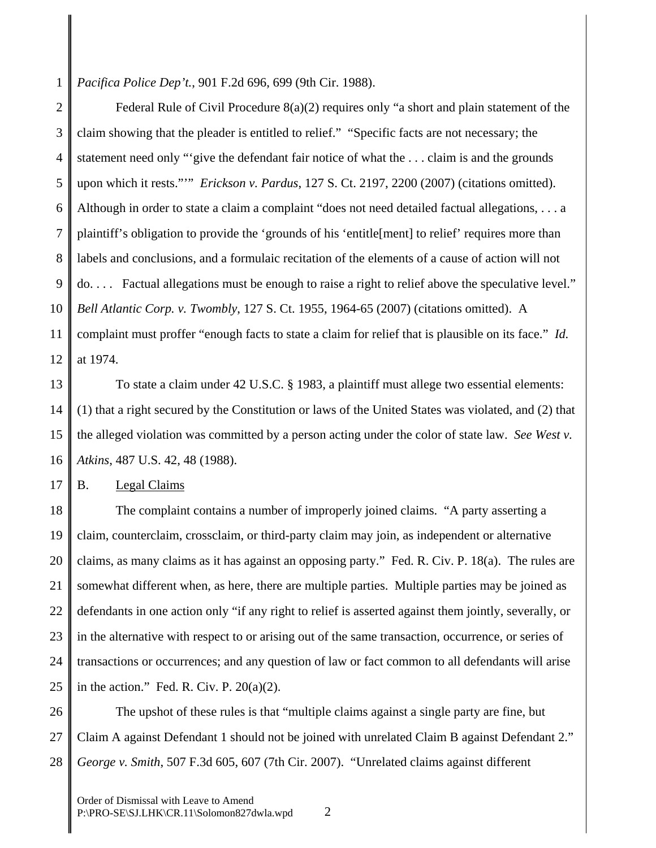1 *Pacifica Police Dep't.*, 901 F.2d 696, 699 (9th Cir. 1988).

2 3 4 5 6 7 8 9 10 11 12 Federal Rule of Civil Procedure  $8(a)(2)$  requires only "a short and plain statement of the claim showing that the pleader is entitled to relief." "Specific facts are not necessary; the statement need only "'give the defendant fair notice of what the . . . claim is and the grounds upon which it rests."'" *Erickson v. Pardus*, 127 S. Ct. 2197, 2200 (2007) (citations omitted). Although in order to state a claim a complaint "does not need detailed factual allegations, . . . a plaintiff's obligation to provide the 'grounds of his 'entitle[ment] to relief' requires more than labels and conclusions, and a formulaic recitation of the elements of a cause of action will not do. . . . Factual allegations must be enough to raise a right to relief above the speculative level." *Bell Atlantic Corp. v. Twombly*, 127 S. Ct. 1955, 1964-65 (2007) (citations omitted). A complaint must proffer "enough facts to state a claim for relief that is plausible on its face." *Id.* at 1974.

13 14 15 16 To state a claim under 42 U.S.C. § 1983, a plaintiff must allege two essential elements: (1) that a right secured by the Constitution or laws of the United States was violated, and (2) that the alleged violation was committed by a person acting under the color of state law. *See West v. Atkins*, 487 U.S. 42, 48 (1988).

17 B. Legal Claims

18 19 20 21 22 23 24 25 The complaint contains a number of improperly joined claims. "A party asserting a claim, counterclaim, crossclaim, or third-party claim may join, as independent or alternative claims, as many claims as it has against an opposing party." Fed. R. Civ. P. 18(a). The rules are somewhat different when, as here, there are multiple parties. Multiple parties may be joined as defendants in one action only "if any right to relief is asserted against them jointly, severally, or in the alternative with respect to or arising out of the same transaction, occurrence, or series of transactions or occurrences; and any question of law or fact common to all defendants will arise in the action." Fed. R. Civ. P.  $20(a)(2)$ .

26 27 28 The upshot of these rules is that "multiple claims against a single party are fine, but Claim A against Defendant 1 should not be joined with unrelated Claim B against Defendant 2." *George v. Smith*, 507 F.3d 605, 607 (7th Cir. 2007). "Unrelated claims against different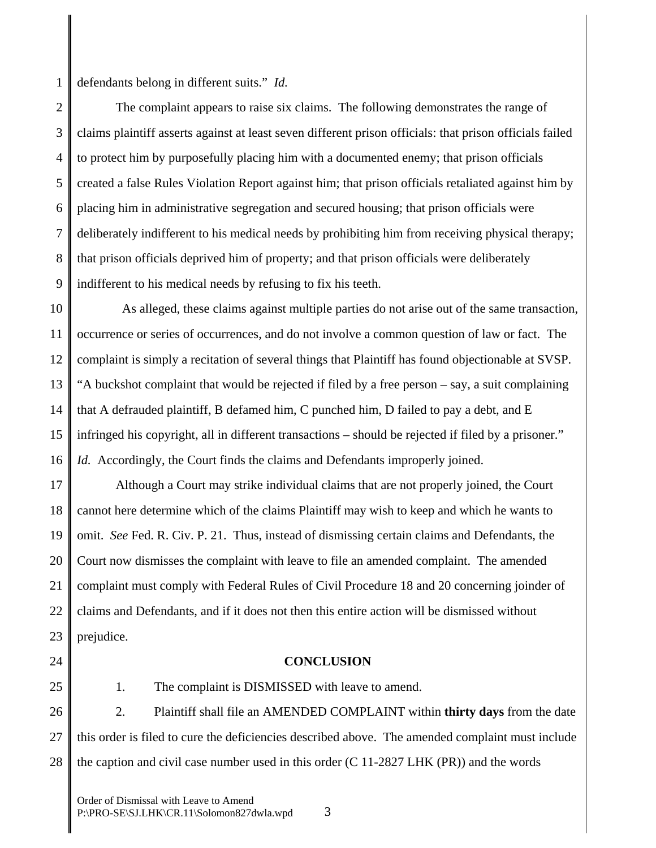1 defendants belong in different suits." *Id.*

2 3 4 5 6 7 8 9 The complaint appears to raise six claims. The following demonstrates the range of claims plaintiff asserts against at least seven different prison officials: that prison officials failed to protect him by purposefully placing him with a documented enemy; that prison officials created a false Rules Violation Report against him; that prison officials retaliated against him by placing him in administrative segregation and secured housing; that prison officials were deliberately indifferent to his medical needs by prohibiting him from receiving physical therapy; that prison officials deprived him of property; and that prison officials were deliberately indifferent to his medical needs by refusing to fix his teeth.

10 11 12 13 14 15 16 As alleged, these claims against multiple parties do not arise out of the same transaction, occurrence or series of occurrences, and do not involve a common question of law or fact. The complaint is simply a recitation of several things that Plaintiff has found objectionable at SVSP. "A buckshot complaint that would be rejected if filed by a free person – say, a suit complaining that A defrauded plaintiff, B defamed him, C punched him, D failed to pay a debt, and E infringed his copyright, all in different transactions – should be rejected if filed by a prisoner." *Id.* Accordingly, the Court finds the claims and Defendants improperly joined.

17 18 19 20 21 22 23 Although a Court may strike individual claims that are not properly joined, the Court cannot here determine which of the claims Plaintiff may wish to keep and which he wants to omit. *See* Fed. R. Civ. P. 21. Thus, instead of dismissing certain claims and Defendants, the Court now dismisses the complaint with leave to file an amended complaint. The amended complaint must comply with Federal Rules of Civil Procedure 18 and 20 concerning joinder of claims and Defendants, and if it does not then this entire action will be dismissed without prejudice.

24

## 25

## **CONCLUSION**

26 27 28 2. Plaintiff shall file an AMENDED COMPLAINT within **thirty days** from the date this order is filed to cure the deficiencies described above. The amended complaint must include the caption and civil case number used in this order (C 11-2827 LHK (PR)) and the words

1. The complaint is DISMISSED with leave to amend.

Order of Dismissal with Leave to Amend P:\PRO-SE\SJ.LHK\CR.11\Solomon827dwla.wpd 3